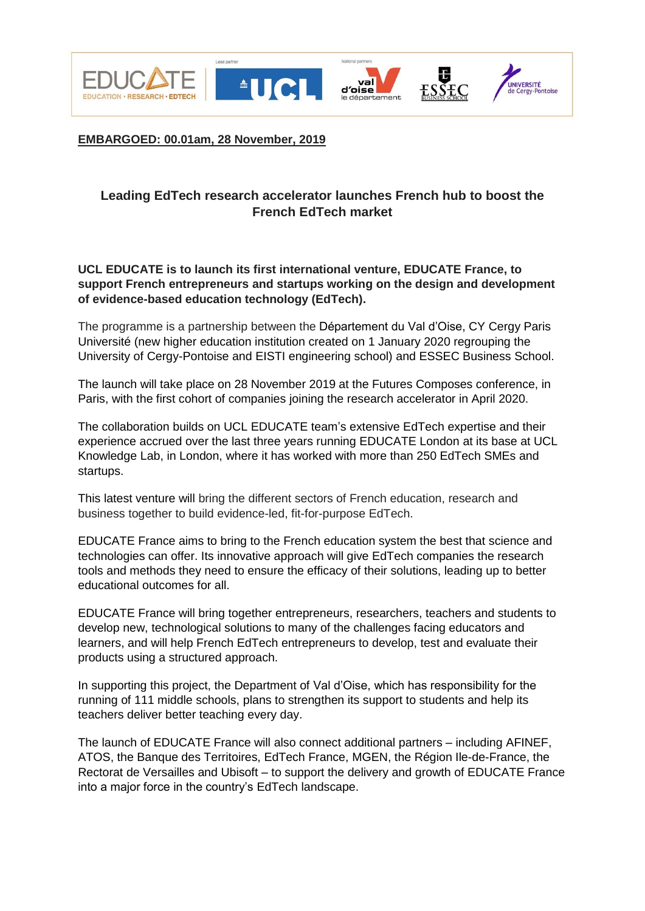









**EMBARGOED: 00.01am, 28 November, 2019**

## **Leading EdTech research accelerator launches French hub to boost the French EdTech market**

**UCL EDUCATE is to launch its first international venture, EDUCATE France, to support French entrepreneurs and startups working on the design and development of evidence-based education technology (EdTech).**

The programme is a partnership between the Département du Val d'Oise, CY Cergy Paris Université (new higher education institution created on 1 January 2020 regrouping the University of Cergy-Pontoise and EISTI engineering school) and ESSEC Business School.

The launch will take place on 28 November 2019 at the Futures Composes conference, in Paris, with the first cohort of companies joining the research accelerator in April 2020.

The collaboration builds on UCL EDUCATE team's extensive EdTech expertise and their experience accrued over the last three years running EDUCATE London at its base at UCL Knowledge Lab, in London, where it has worked with more than 250 EdTech SMEs and startups.

This latest venture will bring the different sectors of French education, research and business together to build evidence-led, fit-for-purpose EdTech.

EDUCATE France aims to bring to the French education system the best that science and technologies can offer. Its innovative approach will give EdTech companies the research tools and methods they need to ensure the efficacy of their solutions, leading up to better educational outcomes for all.

EDUCATE France will bring together entrepreneurs, researchers, teachers and students to develop new, technological solutions to many of the challenges facing educators and learners, and will help French EdTech entrepreneurs to develop, test and evaluate their products using a structured approach.

In supporting this project, the Department of Val d'Oise, which has responsibility for the running of 111 middle schools, plans to strengthen its support to students and help its teachers deliver better teaching every day.

The launch of EDUCATE France will also connect additional partners – including AFINEF, ATOS, the Banque des Territoires, EdTech France, MGEN, the Région Ile-de-France, the Rectorat de Versailles and Ubisoft – to support the delivery and growth of EDUCATE France into a major force in the country's EdTech landscape.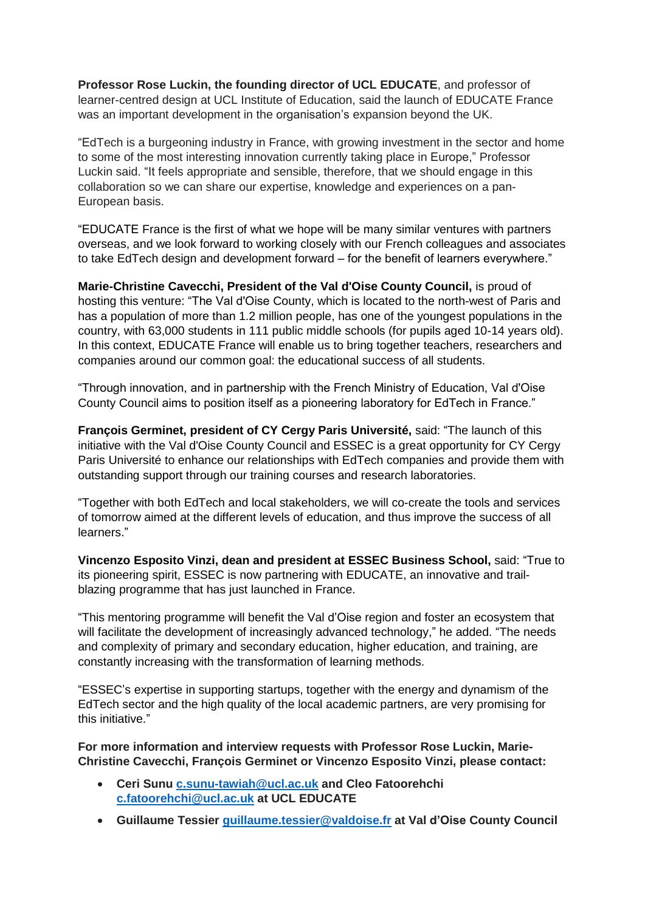**Professor Rose Luckin, the founding director of UCL EDUCATE**, and professor of learner-centred design at UCL Institute of Education, said the launch of EDUCATE France was an important development in the organisation's expansion beyond the UK.

"EdTech is a burgeoning industry in France, with growing investment in the sector and home to some of the most interesting innovation currently taking place in Europe," Professor Luckin said. "It feels appropriate and sensible, therefore, that we should engage in this collaboration so we can share our expertise, knowledge and experiences on a pan-European basis.

"EDUCATE France is the first of what we hope will be many similar ventures with partners overseas, and we look forward to working closely with our French colleagues and associates to take EdTech design and development forward – for the benefit of learners everywhere."

**Marie-Christine Cavecchi, President of the Val d'Oise County Council,** is proud of hosting this venture: "The Val d'Oise County, which is located to the north-west of Paris and has a population of more than 1.2 million people, has one of the youngest populations in the country, with 63,000 students in 111 public middle schools (for pupils aged 10-14 years old). In this context, EDUCATE France will enable us to bring together teachers, researchers and companies around our common goal: the educational success of all students.

"Through innovation, and in partnership with the French Ministry of Education, Val d'Oise County Council aims to position itself as a pioneering laboratory for EdTech in France."

**François Germinet, president of CY Cergy Paris Université,** said: "The launch of this initiative with the Val d'Oise County Council and ESSEC is a great opportunity for CY Cergy Paris Université to enhance our relationships with EdTech companies and provide them with outstanding support through our training courses and research laboratories.

"Together with both EdTech and local stakeholders, we will co-create the tools and services of tomorrow aimed at the different levels of education, and thus improve the success of all learners."

**Vincenzo Esposito Vinzi, dean and president at ESSEC Business School,** said: "True to its pioneering spirit, ESSEC is now partnering with EDUCATE, an innovative and trailblazing programme that has just launched in France.

"This mentoring programme will benefit the Val d'Oise region and foster an ecosystem that will facilitate the development of increasingly advanced technology," he added. "The needs and complexity of primary and secondary education, higher education, and training, are constantly increasing with the transformation of learning methods.

"ESSEC's expertise in supporting startups, together with the energy and dynamism of the EdTech sector and the high quality of the local academic partners, are very promising for this initiative."

**For more information and interview requests with Professor Rose Luckin, Marie-Christine Cavecchi, François Germinet or Vincenzo Esposito Vinzi, please contact:**

- **Ceri Sunu [c.sunu-tawiah@ucl.ac.uk](mailto:c.sunu-tawiah@ucl.ac.uk) and Cleo Fatoorehchi [c.fatoorehchi@ucl.ac.uk](mailto:c.fatoorehchi@ucl.ac.uk) at UCL EDUCATE**
- **Guillaume Tessier [guillaume.tessier@valdoise.fr](mailto:guillaume.tessier@valdoise.fr) at Val d'Oise County Council**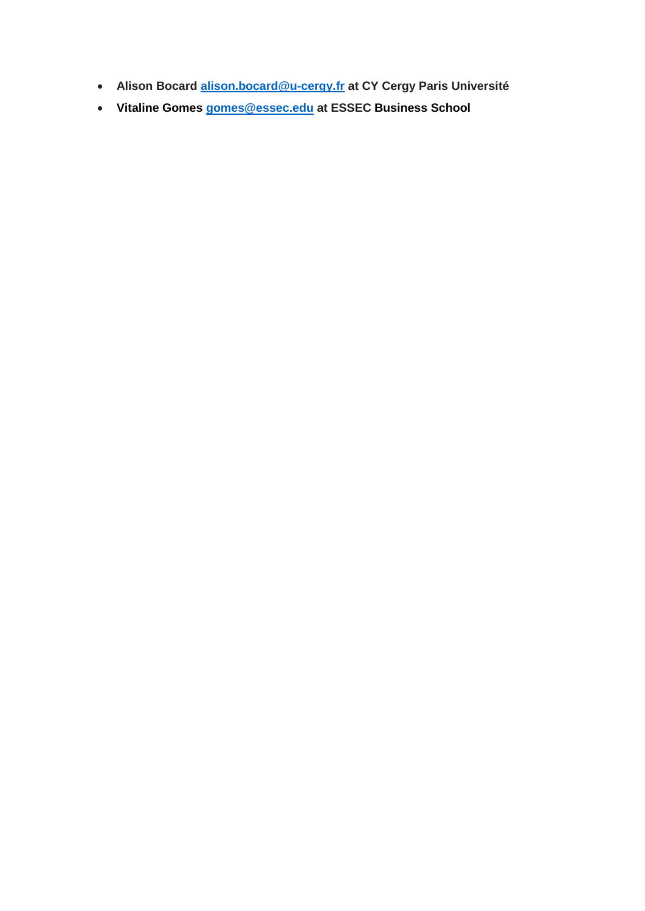- **Alison Bocard [alison.bocard@u-cergy.fr](mailto:alison.bocard@u-cergy.fr) at CY Cergy Paris Université**
- **Vitaline Gomes [gomes@essec.edu](mailto:gomes@essec.edu) at ESSEC Business School**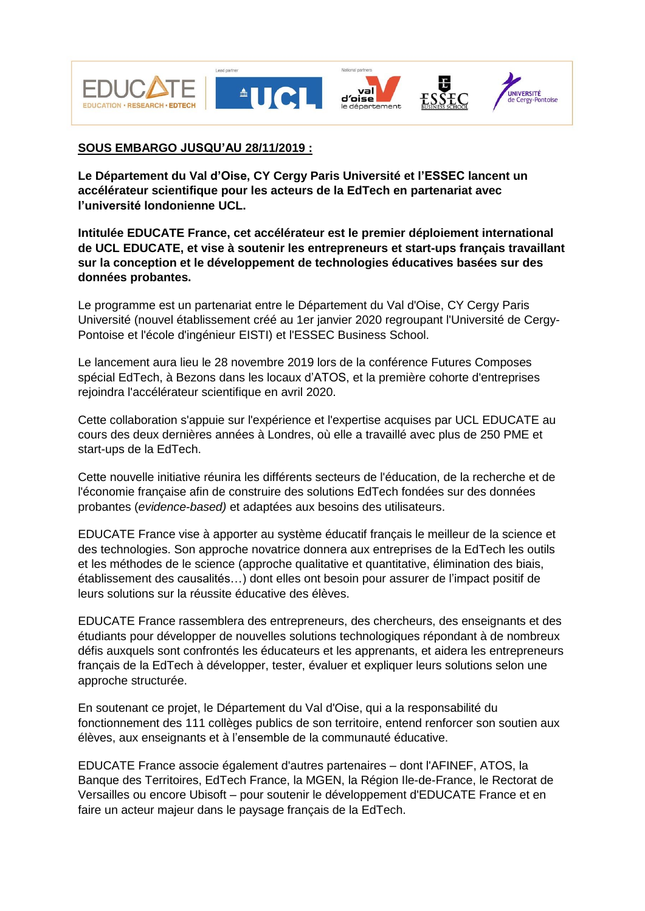









## **SOUS EMBARGO JUSQU'AU 28/11/2019 :**

**Le Département du Val d'Oise, CY Cergy Paris Université et l'ESSEC lancent un accélérateur scientifique pour les acteurs de la EdTech en partenariat avec l'université londonienne UCL.**

**Intitulée EDUCATE France, cet accélérateur est le premier déploiement international de UCL EDUCATE, et vise à soutenir les entrepreneurs et start-ups français travaillant sur la conception et le développement de technologies éducatives basées sur des données probantes.**

Le programme est un partenariat entre le Département du Val d'Oise, CY Cergy Paris Université (nouvel établissement créé au 1er janvier 2020 regroupant l'Université de Cergy-Pontoise et l'école d'ingénieur EISTI) et l'ESSEC Business School.

Le lancement aura lieu le 28 novembre 2019 lors de la conférence Futures Composes spécial EdTech, à Bezons dans les locaux d'ATOS, et la première cohorte d'entreprises rejoindra l'accélérateur scientifique en avril 2020.

Cette collaboration s'appuie sur l'expérience et l'expertise acquises par UCL EDUCATE au cours des deux dernières années à Londres, où elle a travaillé avec plus de 250 PME et start-ups de la EdTech.

Cette nouvelle initiative réunira les différents secteurs de l'éducation, de la recherche et de l'économie française afin de construire des solutions EdTech fondées sur des données probantes (*evidence-based)* et adaptées aux besoins des utilisateurs.

EDUCATE France vise à apporter au système éducatif français le meilleur de la science et des technologies. Son approche novatrice donnera aux entreprises de la EdTech les outils et les méthodes de le science (approche qualitative et quantitative, élimination des biais, établissement des causalités…) dont elles ont besoin pour assurer de l'impact positif de leurs solutions sur la réussite éducative des élèves.

EDUCATE France rassemblera des entrepreneurs, des chercheurs, des enseignants et des étudiants pour développer de nouvelles solutions technologiques répondant à de nombreux défis auxquels sont confrontés les éducateurs et les apprenants, et aidera les entrepreneurs français de la EdTech à développer, tester, évaluer et expliquer leurs solutions selon une approche structurée.

En soutenant ce projet, le Département du Val d'Oise, qui a la responsabilité du fonctionnement des 111 collèges publics de son territoire, entend renforcer son soutien aux élèves, aux enseignants et à l'ensemble de la communauté éducative.

EDUCATE France associe également d'autres partenaires – dont l'AFINEF, ATOS, la Banque des Territoires, EdTech France, la MGEN, la Région Ile-de-France, le Rectorat de Versailles ou encore Ubisoft – pour soutenir le développement d'EDUCATE France et en faire un acteur majeur dans le paysage français de la EdTech.